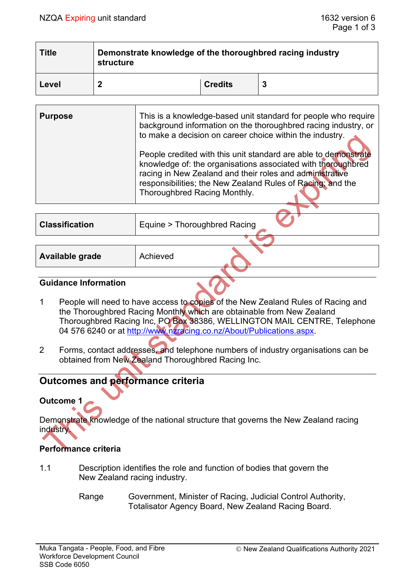| <b>Title</b> | Demonstrate knowledge of the thoroughbred racing industry<br>structure |                |  |  |
|--------------|------------------------------------------------------------------------|----------------|--|--|
| Level        |                                                                        | <b>Credits</b> |  |  |

| <b>Purpose</b> | This is a knowledge-based unit standard for people who require<br>background information on the thoroughbred racing industry, or<br>to make a decision on career choice within the industry.<br>People credited with this unit standard are able to demonstrate<br>knowledge of: the organisations associated with thoroughbred<br>racing in New Zealand and their roles and administrative<br>responsibilities; the New Zealand Rules of Racing; and the<br>Thoroughbred Racing Monthly. |
|----------------|-------------------------------------------------------------------------------------------------------------------------------------------------------------------------------------------------------------------------------------------------------------------------------------------------------------------------------------------------------------------------------------------------------------------------------------------------------------------------------------------|
|                |                                                                                                                                                                                                                                                                                                                                                                                                                                                                                           |
|                |                                                                                                                                                                                                                                                                                                                                                                                                                                                                                           |

| <b>Classification</b> | Equine > Thoroughbred Racing |  |
|-----------------------|------------------------------|--|
|                       |                              |  |

| Available grade | Achieved |  |  |
|-----------------|----------|--|--|
|-----------------|----------|--|--|

#### **Guidance Information**

- 1 People will need to have access to copies of the New Zealand Rules of Racing and the Thoroughbred Racing Monthly which are obtainable from New Zealand Thoroughbred Racing Inc, PO Box 38386, WELLINGTON MAIL CENTRE, Telephone 04 576 6240 or at [http://www.nzracing.co.nz/About/Publications.aspx.](http://www.nzracing.co.nz/About/Publications.aspx)
- 2 Forms, contact addresses, and telephone numbers of industry organisations can be obtained from New Zealand Thoroughbred Racing Inc.

## **Outcomes and performance criteria**

## **Outcome 1**

Demonstrate knowledge of the national structure that governs the New Zealand racing industry.

## **Performance criteria**

- 1.1 Description identifies the role and function of bodies that govern the New Zealand racing industry.
	- Range Government, Minister of Racing, Judicial Control Authority, Totalisator Agency Board, New Zealand Racing Board.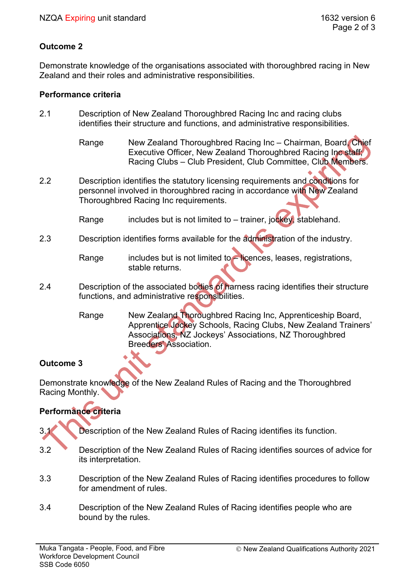## **Outcome 2**

Demonstrate knowledge of the organisations associated with thoroughbred racing in New Zealand and their roles and administrative responsibilities.

#### **Performance criteria**

- 2.1 Description of New Zealand Thoroughbred Racing Inc and racing clubs identifies their structure and functions, and administrative responsibilities.
	- Range Mew Zealand Thoroughbred Racing Inc Chairman, Board, Chief Executive Officer, New Zealand Thoroughbred Racing Inc staff; Racing Clubs – Club President, Club Committee, Club Members.
- 2.2 Description identifies the statutory licensing requirements and conditions for personnel involved in thoroughbred racing in accordance with New Zealand Thoroughbred Racing Inc requirements.
	- Range includes but is not limited to  $-$  trainer, jockey, stablehand.
- 2.3 Description identifies forms available for the administration of the industry.

- 2.4 Description of the associated bodies of harness racing identifies their structure functions, and administrative responsibilities.
	- Range New Zealand Thoroughbred Racing Inc, Apprenticeship Board, Apprentice Jockey Schools, Racing Clubs, New Zealand Trainers' Associations, NZ Jockeys' Associations, NZ Thoroughbred Breeders' Association.

## **Outcome 3**

Demonstrate knowledge of the New Zealand Rules of Racing and the Thoroughbred Racing Monthly.

# **Performance criteria**

- 3.1 Description of the New Zealand Rules of Racing identifies its function.
- 3.2 Description of the New Zealand Rules of Racing identifies sources of advice for its interpretation.
- 3.3 Description of the New Zealand Rules of Racing identifies procedures to follow for amendment of rules.
- 3.4 Description of the New Zealand Rules of Racing identifies people who are bound by the rules.

Range includes but is not limited to – licences, leases, registrations, stable returns.